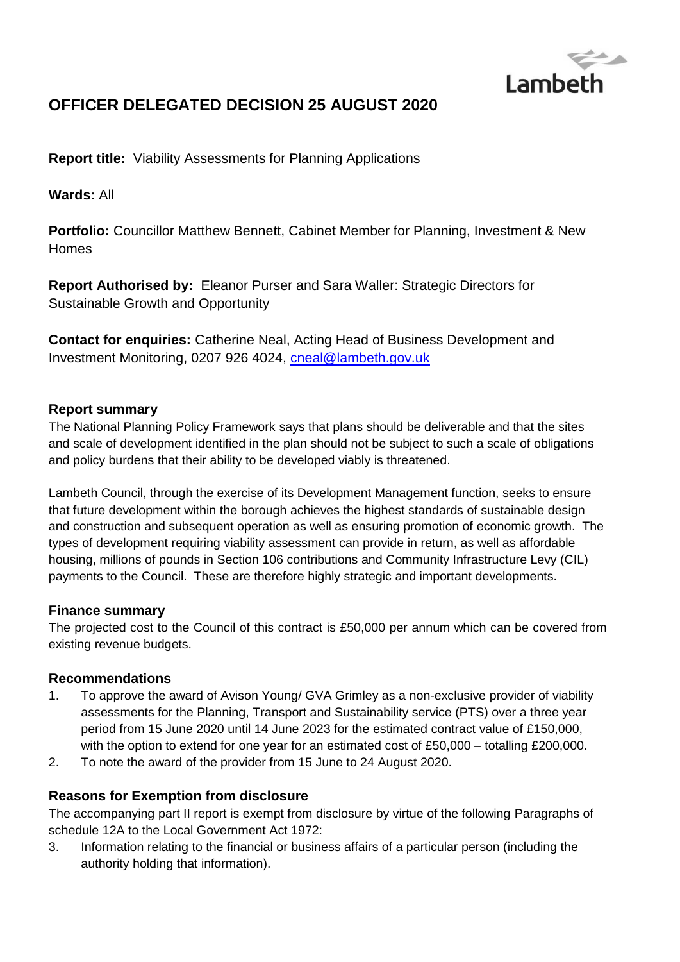

# **OFFICER DELEGATED DECISION 25 AUGUST 2020**

**Report title:** Viability Assessments for Planning Applications

**Wards:** All

**Portfolio:** Councillor Matthew Bennett, Cabinet Member for Planning, Investment & New Homes

**Report Authorised by:** Eleanor Purser and Sara Waller: Strategic Directors for Sustainable Growth and Opportunity

**Contact for enquiries:** Catherine Neal, Acting Head of Business Development and Investment Monitoring, 0207 926 4024, [cneal@lambeth.gov.uk](mailto:cneal@lambeth.gov.uk)

## **Report summary**

The National Planning Policy Framework says that plans should be deliverable and that the sites and scale of development identified in the plan should not be subject to such a scale of obligations and policy burdens that their ability to be developed viably is threatened.

Lambeth Council, through the exercise of its Development Management function, seeks to ensure that future development within the borough achieves the highest standards of sustainable design and construction and subsequent operation as well as ensuring promotion of economic growth. The types of development requiring viability assessment can provide in return, as well as affordable housing, millions of pounds in Section 106 contributions and Community Infrastructure Levy (CIL) payments to the Council. These are therefore highly strategic and important developments.

## **Finance summary**

The projected cost to the Council of this contract is £50,000 per annum which can be covered from existing revenue budgets.

## **Recommendations**

- 1. To approve the award of Avison Young/ GVA Grimley as a non-exclusive provider of viability assessments for the Planning, Transport and Sustainability service (PTS) over a three year period from 15 June 2020 until 14 June 2023 for the estimated contract value of £150,000, with the option to extend for one year for an estimated cost of £50,000 – totalling £200,000.
- 2. To note the award of the provider from 15 June to 24 August 2020.

## **Reasons for Exemption from disclosure**

The accompanying part II report is exempt from disclosure by virtue of the following Paragraphs of schedule 12A to the Local Government Act 1972:

3. Information relating to the financial or business affairs of a particular person (including the authority holding that information).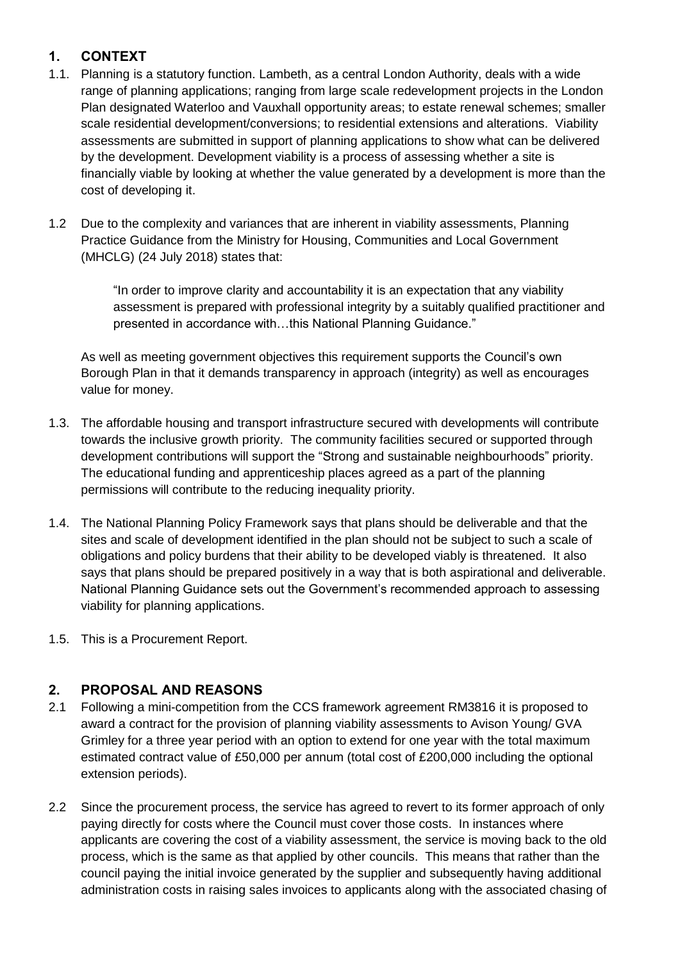## **1. CONTEXT**

- 1.1. Planning is a statutory function. Lambeth, as a central London Authority, deals with a wide range of planning applications; ranging from large scale redevelopment projects in the London Plan designated Waterloo and Vauxhall opportunity areas; to estate renewal schemes; smaller scale residential development/conversions; to residential extensions and alterations. Viability assessments are submitted in support of planning applications to show what can be delivered by the development. Development viability is a process of assessing whether a site is financially viable by looking at whether the value generated by a development is more than the cost of developing it.
- 1.2 Due to the complexity and variances that are inherent in viability assessments, Planning Practice Guidance from the Ministry for Housing, Communities and Local Government (MHCLG) (24 July 2018) states that:

"In order to improve clarity and accountability it is an expectation that any viability assessment is prepared with professional integrity by a suitably qualified practitioner and presented in accordance with…this National Planning Guidance."

As well as meeting government objectives this requirement supports the Council's own Borough Plan in that it demands transparency in approach (integrity) as well as encourages value for money.

- 1.3. The affordable housing and transport infrastructure secured with developments will contribute towards the inclusive growth priority. The community facilities secured or supported through development contributions will support the "Strong and sustainable neighbourhoods" priority. The educational funding and apprenticeship places agreed as a part of the planning permissions will contribute to the reducing inequality priority.
- 1.4. The National Planning Policy Framework says that plans should be deliverable and that the sites and scale of development identified in the plan should not be subject to such a scale of obligations and policy burdens that their ability to be developed viably is threatened. It also says that plans should be prepared positively in a way that is both aspirational and deliverable. National Planning Guidance sets out the Government's recommended approach to assessing viability for planning applications.
- 1.5. This is a Procurement Report.

## **2. PROPOSAL AND REASONS**

- 2.1 Following a mini-competition from the CCS framework agreement RM3816 it is proposed to award a contract for the provision of planning viability assessments to Avison Young/ GVA Grimley for a three year period with an option to extend for one year with the total maximum estimated contract value of £50,000 per annum (total cost of £200,000 including the optional extension periods).
- 2.2 Since the procurement process, the service has agreed to revert to its former approach of only paying directly for costs where the Council must cover those costs. In instances where applicants are covering the cost of a viability assessment, the service is moving back to the old process, which is the same as that applied by other councils. This means that rather than the council paying the initial invoice generated by the supplier and subsequently having additional administration costs in raising sales invoices to applicants along with the associated chasing of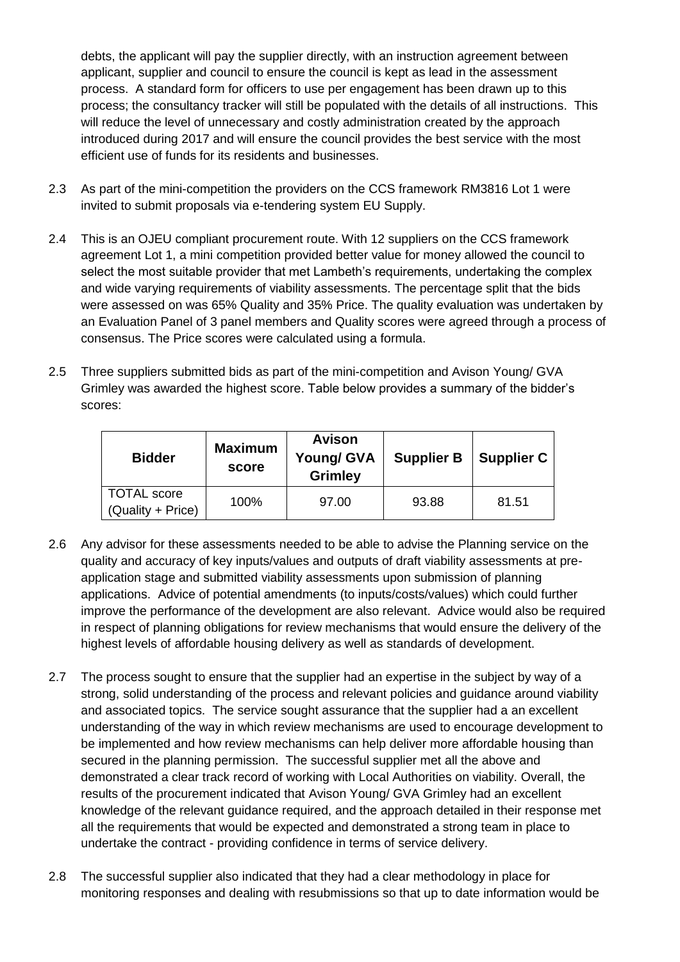debts, the applicant will pay the supplier directly, with an instruction agreement between applicant, supplier and council to ensure the council is kept as lead in the assessment process. A standard form for officers to use per engagement has been drawn up to this process; the consultancy tracker will still be populated with the details of all instructions. This will reduce the level of unnecessary and costly administration created by the approach introduced during 2017 and will ensure the council provides the best service with the most efficient use of funds for its residents and businesses.

- 2.3 As part of the mini-competition the providers on the CCS framework RM3816 Lot 1 were invited to submit proposals via e-tendering system EU Supply.
- 2.4 This is an OJEU compliant procurement route. With 12 suppliers on the CCS framework agreement Lot 1, a mini competition provided better value for money allowed the council to select the most suitable provider that met Lambeth's requirements, undertaking the complex and wide varying requirements of viability assessments. The percentage split that the bids were assessed on was 65% Quality and 35% Price. The quality evaluation was undertaken by an Evaluation Panel of 3 panel members and Quality scores were agreed through a process of consensus. The Price scores were calculated using a formula.
- 2.5 Three suppliers submitted bids as part of the mini-competition and Avison Young/ GVA Grimley was awarded the highest score. Table below provides a summary of the bidder's scores:

| <b>Bidder</b>                           | <b>Maximum</b><br>score | <b>Avison</b><br><b>Young/ GVA</b><br><b>Grimley</b> | <b>Supplier B</b> | Supplier C |
|-----------------------------------------|-------------------------|------------------------------------------------------|-------------------|------------|
| <b>TOTAL</b> score<br>(Quality + Price) | 100%                    | 97.00                                                | 93.88             | 81.51      |

- 2.6 Any advisor for these assessments needed to be able to advise the Planning service on the quality and accuracy of key inputs/values and outputs of draft viability assessments at preapplication stage and submitted viability assessments upon submission of planning applications. Advice of potential amendments (to inputs/costs/values) which could further improve the performance of the development are also relevant. Advice would also be required in respect of planning obligations for review mechanisms that would ensure the delivery of the highest levels of affordable housing delivery as well as standards of development.
- 2.7 The process sought to ensure that the supplier had an expertise in the subject by way of a strong, solid understanding of the process and relevant policies and guidance around viability and associated topics. The service sought assurance that the supplier had a an excellent understanding of the way in which review mechanisms are used to encourage development to be implemented and how review mechanisms can help deliver more affordable housing than secured in the planning permission. The successful supplier met all the above and demonstrated a clear track record of working with Local Authorities on viability. Overall, the results of the procurement indicated that Avison Young/ GVA Grimley had an excellent knowledge of the relevant guidance required, and the approach detailed in their response met all the requirements that would be expected and demonstrated a strong team in place to undertake the contract - providing confidence in terms of service delivery.
- 2.8 The successful supplier also indicated that they had a clear methodology in place for monitoring responses and dealing with resubmissions so that up to date information would be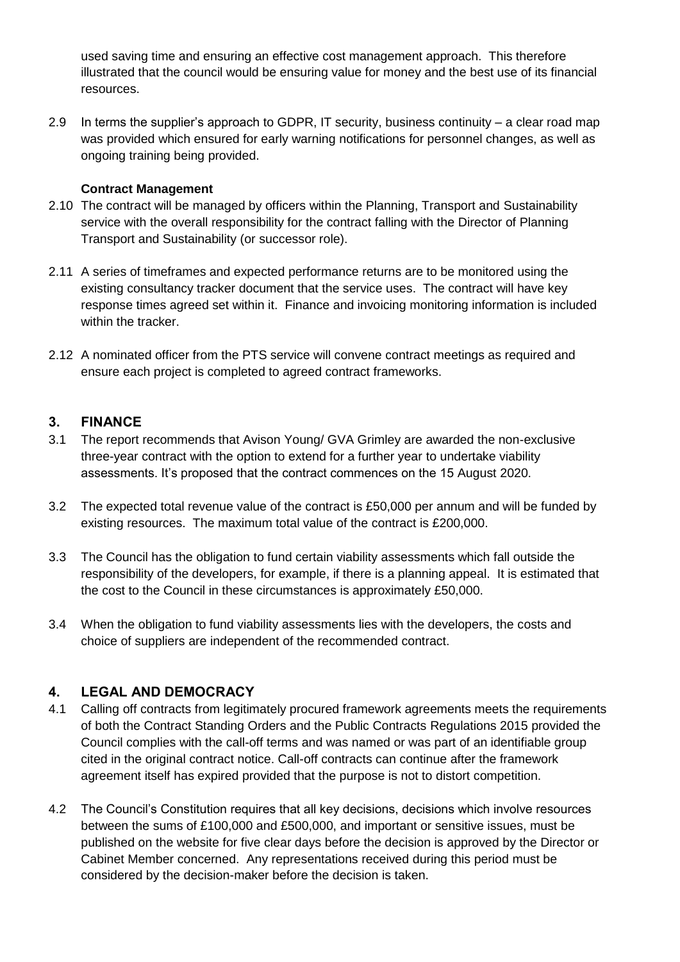used saving time and ensuring an effective cost management approach. This therefore illustrated that the council would be ensuring value for money and the best use of its financial resources.

2.9 In terms the supplier's approach to GDPR, IT security, business continuity – a clear road map was provided which ensured for early warning notifications for personnel changes, as well as ongoing training being provided.

### **Contract Management**

- 2.10 The contract will be managed by officers within the Planning, Transport and Sustainability service with the overall responsibility for the contract falling with the Director of Planning Transport and Sustainability (or successor role).
- 2.11 A series of timeframes and expected performance returns are to be monitored using the existing consultancy tracker document that the service uses. The contract will have key response times agreed set within it. Finance and invoicing monitoring information is included within the tracker.
- 2.12 A nominated officer from the PTS service will convene contract meetings as required and ensure each project is completed to agreed contract frameworks.

## **3. FINANCE**

- 3.1 The report recommends that Avison Young/ GVA Grimley are awarded the non-exclusive three-year contract with the option to extend for a further year to undertake viability assessments. It's proposed that the contract commences on the 15 August 2020.
- 3.2 The expected total revenue value of the contract is £50,000 per annum and will be funded by existing resources. The maximum total value of the contract is £200,000.
- 3.3 The Council has the obligation to fund certain viability assessments which fall outside the responsibility of the developers, for example, if there is a planning appeal. It is estimated that the cost to the Council in these circumstances is approximately £50,000.
- 3.4 When the obligation to fund viability assessments lies with the developers, the costs and choice of suppliers are independent of the recommended contract.

## **4. LEGAL AND DEMOCRACY**

- 4.1 Calling off contracts from legitimately procured framework agreements meets the requirements of both the Contract Standing Orders and the Public Contracts Regulations 2015 provided the Council complies with the call-off terms and was named or was part of an identifiable group cited in the original contract notice. Call-off contracts can continue after the framework agreement itself has expired provided that the purpose is not to distort competition.
- 4.2 The Council's Constitution requires that all key decisions, decisions which involve resources between the sums of £100,000 and £500,000, and important or sensitive issues, must be published on the website for five clear days before the decision is approved by the Director or Cabinet Member concerned. Any representations received during this period must be considered by the decision-maker before the decision is taken.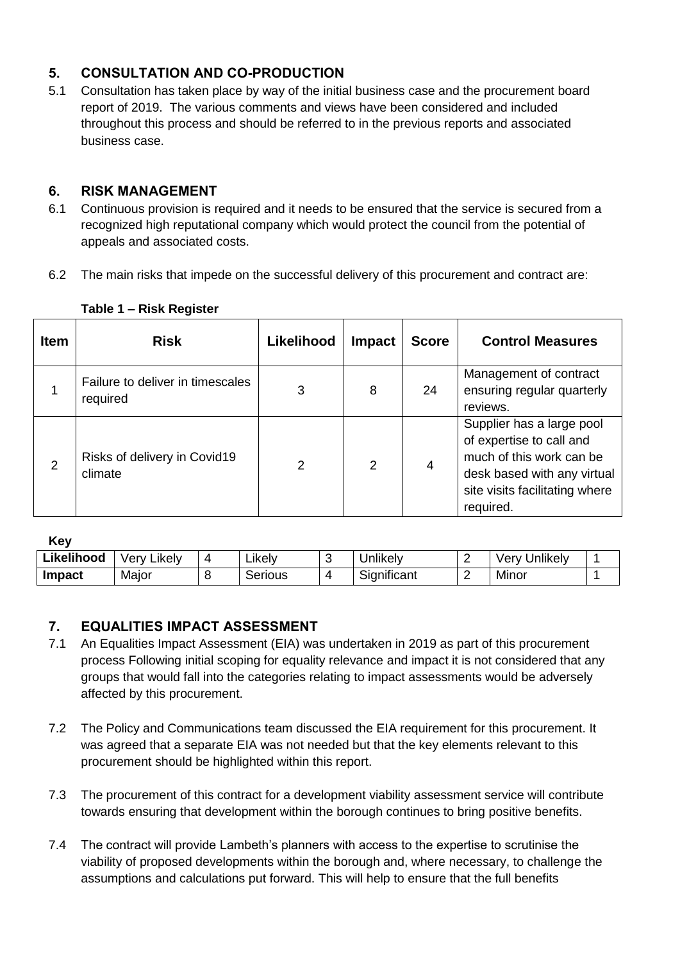## **5. CONSULTATION AND CO-PRODUCTION**

5.1 Consultation has taken place by way of the initial business case and the procurement board report of 2019. The various comments and views have been considered and included throughout this process and should be referred to in the previous reports and associated business case.

## **6. RISK MANAGEMENT**

- 6.1 Continuous provision is required and it needs to be ensured that the service is secured from a recognized high reputational company which would protect the council from the potential of appeals and associated costs.
- 6.2 The main risks that impede on the successful delivery of this procurement and contract are:

| <b>Item</b> | <b>Risk</b>                                  | Likelihood | <b>Impact</b> | <b>Score</b> | <b>Control Measures</b>                                                                                                                                         |
|-------------|----------------------------------------------|------------|---------------|--------------|-----------------------------------------------------------------------------------------------------------------------------------------------------------------|
|             | Failure to deliver in timescales<br>required | 3          | 8             | 24           | Management of contract<br>ensuring regular quarterly<br>reviews.                                                                                                |
| 2           | Risks of delivery in Covid19<br>climate      | 2          | $\mathcal{P}$ | 4            | Supplier has a large pool<br>of expertise to call and<br>much of this work can be<br>desk based with any virtual<br>site visits facilitating where<br>required. |

#### **Table 1 – Risk Register**

**Key**

| --- -         |                      |   |         |             |   |                  |  |
|---------------|----------------------|---|---------|-------------|---|------------------|--|
| Likelihood    | .<br>verv<br>∟ikelv⊹ | 4 | ∟ikelv  | Jnlikely    | - | Unlikely<br>verv |  |
| <b>Impact</b> | Major                |   | Serious | Significant |   | Minor            |  |

## **7. EQUALITIES IMPACT ASSESSMENT**

- 7.1 An Equalities Impact Assessment (EIA) was undertaken in 2019 as part of this procurement process Following initial scoping for equality relevance and impact it is not considered that any groups that would fall into the categories relating to impact assessments would be adversely affected by this procurement.
- 7.2 The Policy and Communications team discussed the EIA requirement for this procurement. It was agreed that a separate EIA was not needed but that the key elements relevant to this procurement should be highlighted within this report.
- 7.3 The procurement of this contract for a development viability assessment service will contribute towards ensuring that development within the borough continues to bring positive benefits.
- 7.4 The contract will provide Lambeth's planners with access to the expertise to scrutinise the viability of proposed developments within the borough and, where necessary, to challenge the assumptions and calculations put forward. This will help to ensure that the full benefits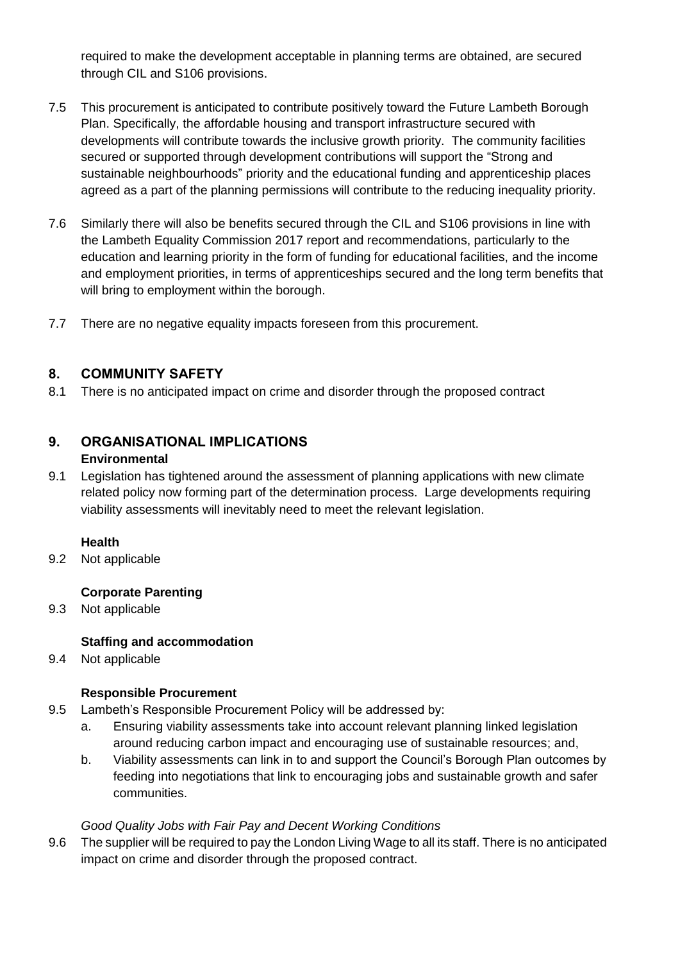required to make the development acceptable in planning terms are obtained, are secured through CIL and S106 provisions.

- 7.5 This procurement is anticipated to contribute positively toward the Future Lambeth Borough Plan. Specifically, the affordable housing and transport infrastructure secured with developments will contribute towards the inclusive growth priority. The community facilities secured or supported through development contributions will support the "Strong and sustainable neighbourhoods" priority and the educational funding and apprenticeship places agreed as a part of the planning permissions will contribute to the reducing inequality priority.
- 7.6 Similarly there will also be benefits secured through the CIL and S106 provisions in line with the Lambeth Equality Commission 2017 report and recommendations, particularly to the education and learning priority in the form of funding for educational facilities, and the income and employment priorities, in terms of apprenticeships secured and the long term benefits that will bring to employment within the borough.
- 7.7 There are no negative equality impacts foreseen from this procurement.

## **8. COMMUNITY SAFETY**

8.1 There is no anticipated impact on crime and disorder through the proposed contract

#### **9. ORGANISATIONAL IMPLICATIONS Environmental**

9.1 Legislation has tightened around the assessment of planning applications with new climate related policy now forming part of the determination process. Large developments requiring viability assessments will inevitably need to meet the relevant legislation.

#### **Health**

9.2 Not applicable

## **Corporate Parenting**

9.3 Not applicable

## **Staffing and accommodation**

9.4 Not applicable

## **Responsible Procurement**

- 9.5 Lambeth's Responsible Procurement Policy will be addressed by:
	- a. Ensuring viability assessments take into account relevant planning linked legislation around reducing carbon impact and encouraging use of sustainable resources; and,
	- b. Viability assessments can link in to and support the Council's Borough Plan outcomes by feeding into negotiations that link to encouraging jobs and sustainable growth and safer communities.

## *Good Quality Jobs with Fair Pay and Decent Working Conditions*

9.6 The supplier will be required to pay the London Living Wage to all its staff. There is no anticipated impact on crime and disorder through the proposed contract.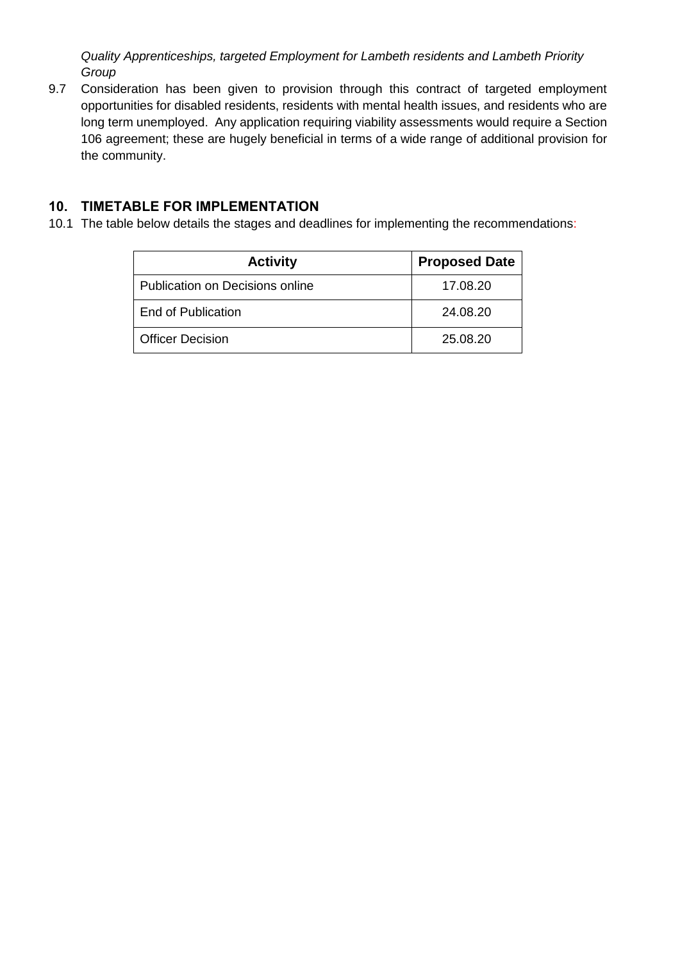*Quality Apprenticeships, targeted Employment for Lambeth residents and Lambeth Priority Group*

9.7 Consideration has been given to provision through this contract of targeted employment opportunities for disabled residents, residents with mental health issues, and residents who are long term unemployed. Any application requiring viability assessments would require a Section 106 agreement; these are hugely beneficial in terms of a wide range of additional provision for the community.

## **10. TIMETABLE FOR IMPLEMENTATION**

10.1 The table below details the stages and deadlines for implementing the recommendations:

| <b>Activity</b>                 | <b>Proposed Date</b> |
|---------------------------------|----------------------|
| Publication on Decisions online | 17.08.20             |
| End of Publication              | 24.08.20             |
| <b>Officer Decision</b>         | 25.08.20             |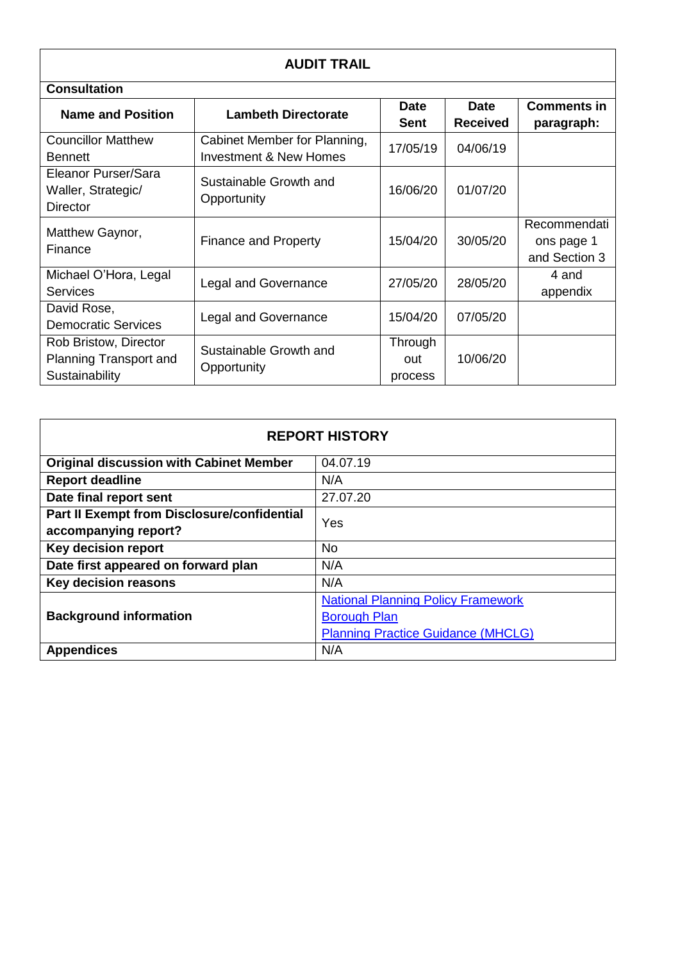| <b>AUDIT TRAIL</b>                                                |                                                                   |                           |                                |                                             |
|-------------------------------------------------------------------|-------------------------------------------------------------------|---------------------------|--------------------------------|---------------------------------------------|
| <b>Consultation</b>                                               |                                                                   |                           |                                |                                             |
| <b>Name and Position</b>                                          | <b>Lambeth Directorate</b>                                        | <b>Date</b><br>Sent       | <b>Date</b><br><b>Received</b> | <b>Comments in</b><br>paragraph:            |
| <b>Councillor Matthew</b><br><b>Bennett</b>                       | Cabinet Member for Planning,<br><b>Investment &amp; New Homes</b> | 17/05/19                  | 04/06/19                       |                                             |
| Eleanor Purser/Sara<br>Waller, Strategic/<br><b>Director</b>      | Sustainable Growth and<br>Opportunity                             | 16/06/20                  | 01/07/20                       |                                             |
| Matthew Gaynor,<br>Finance                                        | <b>Finance and Property</b>                                       | 15/04/20                  | 30/05/20                       | Recommendati<br>ons page 1<br>and Section 3 |
| Michael O'Hora, Legal<br><b>Services</b>                          | <b>Legal and Governance</b>                                       | 27/05/20                  | 28/05/20                       | 4 and<br>appendix                           |
| David Rose,<br><b>Democratic Services</b>                         | Legal and Governance                                              | 15/04/20                  | 07/05/20                       |                                             |
| Rob Bristow, Director<br>Planning Transport and<br>Sustainability | Sustainable Growth and<br>Opportunity                             | Through<br>out<br>process | 10/06/20                       |                                             |

| <b>REPORT HISTORY</b>                          |                                           |  |  |
|------------------------------------------------|-------------------------------------------|--|--|
| <b>Original discussion with Cabinet Member</b> | 04.07.19                                  |  |  |
| <b>Report deadline</b>                         | N/A                                       |  |  |
| Date final report sent                         | 27.07.20                                  |  |  |
| Part II Exempt from Disclosure/confidential    | Yes                                       |  |  |
| accompanying report?                           |                                           |  |  |
| <b>Key decision report</b><br><b>No</b>        |                                           |  |  |
| Date first appeared on forward plan            | N/A                                       |  |  |
| <b>Key decision reasons</b>                    | N/A                                       |  |  |
|                                                | <b>National Planning Policy Framework</b> |  |  |
| <b>Background information</b>                  | <b>Borough Plan</b>                       |  |  |
|                                                | <b>Planning Practice Guidance (MHCLG)</b> |  |  |
| <b>Appendices</b>                              | N/A                                       |  |  |